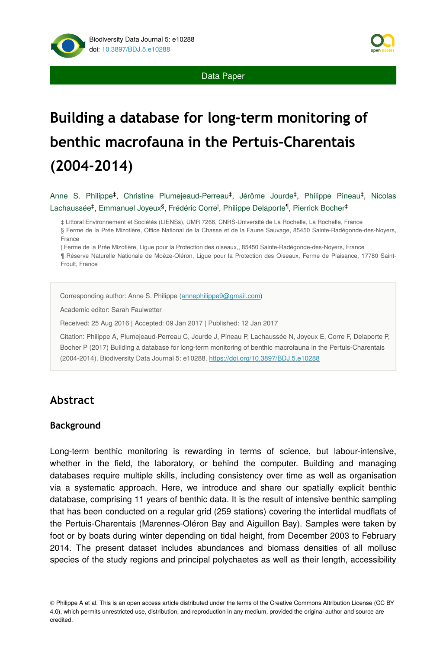

Data Paper

# **Building a database for long-term monitoring of benthic macrofauna in the Pertuis-Charentais (2004-2014)**

Anne S. Philippe<sup>‡</sup>, Christine Plumejeaud-Perreau<sup>‡</sup>, Jérôme Jourde<sup>‡</sup>, Philippe Pineau<sup>‡</sup>, Nicolas Lachaussée<sup>‡</sup>, Emmanuel Joyeux<sup>§</sup>, Frédéric Corre<sup>l</sup>, Philippe Delaporte<sup>¶</sup>, Pierrick Bocher<sup>‡</sup>

‡ Littoral Environnement et Sociétés (LIENSs), UMR 7266, CNRS-Université de La Rochelle, La Rochelle, France

§ Ferme de la Prée Mizotière, Office National de la Chasse et de la Faune Sauvage, 85450 Sainte-Radégonde-des-Noyers, France

| Ferme de la Prée Mizotière, Ligue pour la Protection des oiseaux,, 85450 Sainte-Radégonde-des-Noyers, France

¶ Réserve Naturelle Nationale de Moëze-Oléron, Ligue pour la Protection des Oiseaux, Ferme de Plaisance, 17780 Saint-Froult, France

Corresponding author: Anne S. Philippe [\(annephilippe9@gmail.com\)](mailto:annephilippe9@gmail.com)

Academic editor: Sarah Faulwetter

Received: 25 Aug 2016 | Accepted: 09 Jan 2017 | Published: 12 Jan 2017

Citation: Philippe A, Plumejeaud-Perreau C, Jourde J, Pineau P, Lachaussée N, Joyeux E, Corre F, Delaporte P, Bocher P (2017) Building a database for long-term monitoring of benthic macrofauna in the Pertuis-Charentais (2004-2014). Biodiversity Data Journal 5: e10288.<https://doi.org/10.3897/BDJ.5.e10288>

# **Abstract**

#### **Background**

Long-term benthic monitoring is rewarding in terms of science, but labour-intensive, whether in the field, the laboratory, or behind the computer. Building and managing databases require multiple skills, including consistency over time as well as organisation via a systematic approach. Here, we introduce and share our spatially explicit benthic database, comprising 11 years of benthic data. It is the result of intensive benthic sampling that has been conducted on a regular grid (259 stations) covering the intertidal mudflats of the Pertuis-Charentais (Marennes-Oléron Bay and Aiguillon Bay). Samples were taken by foot or by boats during winter depending on tidal height, from December 2003 to February 2014. The present dataset includes abundances and biomass densities of all mollusc species of the study regions and principal polychaetes as well as their length, accessibility

© Philippe A et al. This is an open access article distributed under the terms of the Creative Commons Attribution License (CC BY 4.0), which permits unrestricted use, distribution, and reproduction in any medium, provided the original author and source are credited.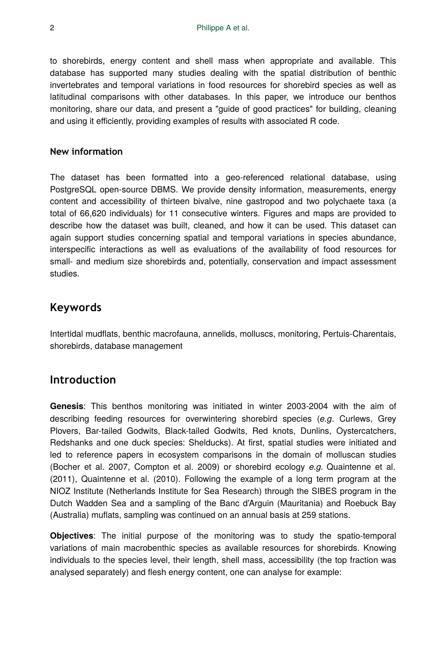to shorebirds, energy content and shell mass when appropriate and available. This database has supported many studies dealing with the spatial distribution of benthic invertebrates and temporal variations in food resources for shorebird species as well as latitudinal comparisons with other databases. In this paper, we introduce our benthos monitoring, share our data, and present a "guide of good practices" for building, cleaning and using it efficiently, providing examples of results with associated R code.

#### **New information**

The dataset has been formatted into a geo-referenced relational database, using PostgreSQL open-source DBMS. We provide density information, measurements, energy content and accessibility of thirteen bivalve, nine gastropod and two polychaete taxa (a total of 66,620 individuals) for 11 consecutive winters. Figures and maps are provided to describe how the dataset was built, cleaned, and how it can be used. This dataset can again support studies concerning spatial and temporal variations in species abundance, interspecific interactions as well as evaluations of the availability of food resources for small- and medium size shorebirds and, potentially, conservation and impact assessment studies.

#### **Keywords**

Intertidal mudflats, benthic macrofauna, annelids, molluscs, monitoring, Pertuis-Charentais, shorebirds, database management

#### **Introduction**

**Genesis**: This benthos monitoring was initiated in winter 2003-2004 with the aim of describing feeding resources for overwintering shorebird species (*e.g*. Curlews, Grey Plovers, Bar-tailed Godwits, Black-tailed Godwits, Red knots, Dunlins, Oystercatchers, Redshanks and one duck species: Shelducks). At first, spatial studies were initiated and led to reference papers in ecosystem comparisons in the domain of molluscan studies (Bocher et al. 2007, Compton et al. 2009) or shorebird ecology *e.g.* Quaintenne et al. (2011), Quaintenne et al. (2010). Following the example of a long term program at the NIOZ Institute (Netherlands Institute for Sea Research) through the SIBES program in the Dutch Wadden Sea and a sampling of the Banc d'Arguin (Mauritania) and Roebuck Bay (Australia) muflats, sampling was continued on an annual basis at 259 stations.

**Objectives**: The initial purpose of the monitoring was to study the spatio-temporal variations of main macrobenthic species as available resources for shorebirds. Knowing individuals to the species level, their length, shell mass, accessibility (the top fraction was analysed separately) and flesh energy content, one can analyse for example: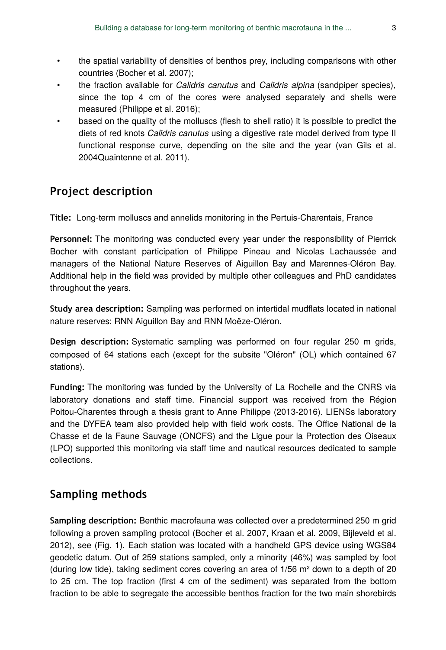- the spatial variability of densities of benthos prey, including comparisons with other countries (Bocher et al. 2007);
- the fraction available for *Calidris canutus* and *Calidris alpina* (sandpiper species), since the top 4 cm of the cores were analysed separately and shells were measured (Philippe et al. 2016);
- based on the quality of the molluscs (flesh to shell ratio) it is possible to predict the diets of red knots *Calidris canutus* using a digestive rate model derived from type II functional response curve, depending on the site and the year (van Gils et al. 2004Quaintenne et al. 2011).

# **Project description**

**Title:** Long-term molluscs and annelids monitoring in the Pertuis-Charentais, France

**Personnel:** The monitoring was conducted every year under the responsibility of Pierrick Bocher with constant participation of Philippe Pineau and Nicolas Lachaussée and managers of the National Nature Reserves of Aiguillon Bay and Marennes-Oléron Bay. Additional help in the field was provided by multiple other colleagues and PhD candidates throughout the years.

**Study area description:** Sampling was performed on intertidal mudflats located in national nature reserves: RNN Aiguillon Bay and RNN Moëze-Oléron.

**Design description:** Systematic sampling was performed on four regular 250 m grids, composed of 64 stations each (except for the subsite "Oléron" (OL) which contained 67 stations).

**Funding:** The monitoring was funded by the University of La Rochelle and the CNRS via laboratory donations and staff time. Financial support was received from the Région Poitou-Charentes through a thesis grant to Anne Philippe (2013-2016). LIENSs laboratory and the DYFEA team also provided help with field work costs. The Office National de la Chasse et de la Faune Sauvage (ONCFS) and the Ligue pour la Protection des Oiseaux (LPO) supported this monitoring via staff time and nautical resources dedicated to sample collections.

# **Sampling methods**

**Sampling description:** Benthic macrofauna was collected over a predetermined 250 m grid following a proven sampling protocol (Bocher et al. 2007, Kraan et al. 2009, Bijleveld et al. 2012), see (Fig. 1). Each station was located with a handheld GPS device using WGS84 geodetic datum. Out of 259 stations sampled, only a minority (46%) was sampled by foot (during low tide), taking sediment cores covering an area of  $1/56$  m<sup>2</sup> down to a depth of 20 to 25 cm. The top fraction (first 4 cm of the sediment) was separated from the bottom fraction to be able to segregate the accessible benthos fraction for the two main shorebirds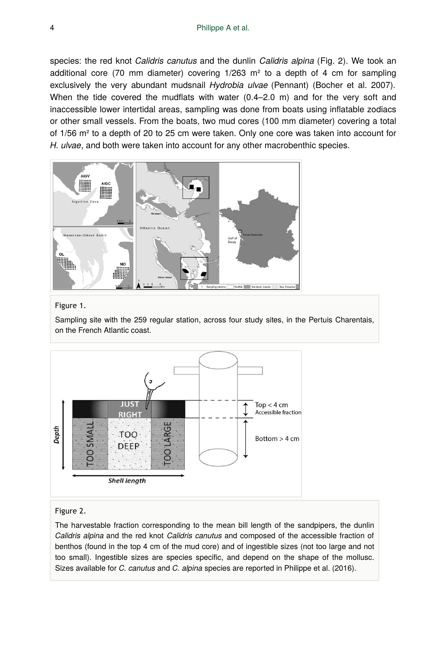species: the red knot *Calidris canutus* and the dunlin *Calidris alpina* (Fig. 2). We took an additional core (70 mm diameter) covering 1/263 m² to a depth of 4 cm for sampling exclusively the very abundant mudsnail *Hydrobia ulvae* (Pennant) (Bocher et al. 2007). When the tide covered the mudflats with water (0.4–2.0 m) and for the very soft and inaccessible lower intertidal areas, sampling was done from boats using inflatable zodiacs or other small vessels. From the boats, two mud cores (100 mm diameter) covering a total of 1/56 m² to a depth of 20 to 25 cm were taken. Only one core was taken into account for *H. ulvae*, and both were taken into account for any other macrobenthic species.



#### Figure 1.

Sampling site with the 259 regular station, across four study sites, in the Pertuis Charentais, on the French Atlantic coast.



#### Figure 2.

The harvestable fraction corresponding to the mean bill length of the sandpipers, the dunlin *Calidris alpina* and the red knot *Calidris canutus* and composed of the accessible fraction of benthos (found in the top 4 cm of the mud core) and of ingestible sizes (not too large and not too small). Ingestible sizes are species specific, and depend on the shape of the mollusc. Sizes available for *C. canutus* and *C. alpina* species are reported in Philippe et al. (2016).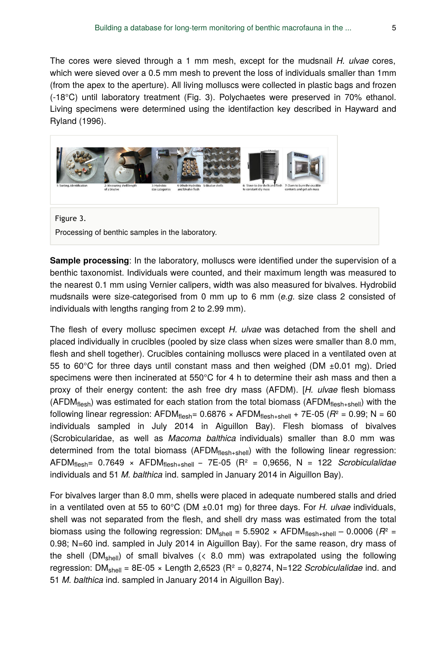The cores were sieved through a 1 mm mesh, except for the mudsnail *H. ulvae* cores, which were sieved over a 0.5 mm mesh to prevent the loss of individuals smaller than 1mm (from the apex to the aperture). All living molluscs were collected in plastic bags and frozen (-18°C) until laboratory treatment (Fig. 3). Polychaetes were preserved in 70% ethanol. Living specimens were determined using the identifaction key described in Hayward and Ryland (1996).



**Sample processing**: In the laboratory, molluscs were identified under the supervision of a benthic taxonomist. Individuals were counted, and their maximum length was measured to the nearest 0.1 mm using Vernier calipers, width was also measured for bivalves. Hydrobiid mudsnails were size-categorised from 0 mm up to 6 mm (*e.g.* size class 2 consisted of individuals with lengths ranging from 2 to 2.99 mm).

The flesh of every mollusc specimen except *H. ulvae* was detached from the shell and placed individually in crucibles (pooled by size class when sizes were smaller than 8.0 mm, flesh and shell together). Crucibles containing molluscs were placed in a ventilated oven at 55 to 60 $^{\circ}$ C for three days until constant mass and then weighed (DM  $\pm$ 0.01 mg). Dried specimens were then incinerated at  $550^{\circ}$ C for 4 h to determine their ash mass and then a proxy of their energy content: the ash free dry mass (AFDM). [*H. ulvae* flesh biomass (AFDM<sub>flesh</sub>) was estimated for each station from the total biomass (AFDM<sub>flesh+shell</sub>) with the following linear regression: AFDM<sub>flesh</sub>= 0.6876 × AFDM<sub>flesh+shell</sub> + 7E-05 (*R*° = 0.99; N = 60 individuals sampled in July 2014 in Aiguillon Bay). Flesh biomass of bivalves (Scrobicularidae, as well as *Macoma balthica* individuals) smaller than 8.0 mm was determined from the total biomass (AFDM<sub>flesh+shell</sub>) with the following linear regression: AFDM<sub>flesh</sub>= 0.7649 × AFDM<sub>flesh+shell</sub> - 7E-05 (R<sup>2</sup> = 0,9656, N = 122 *Scrobiculalidae* individuals and 51 *M. balthica* ind. sampled in January 2014 in Aiguillon Bay).

For bivalves larger than 8.0 mm, shells were placed in adequate numbered stalls and dried in a ventilated oven at 55 to 60°C (DM ±0.01 mg) for three days. For *H. ulvae* individuals, shell was not separated from the flesh, and shell dry mass was estimated from the total biomass using the following regression: DM<sub>shell</sub> = 5.5902  $\times$  AFDM<sub>flesh+shell</sub> - 0.0006 ( $R^2$  = 0.98; N=60 ind. sampled in July 2014 in Aiguillon Bay). For the same reason, dry mass of the shell  $(\textsf{DM}_{\text{shell}})$  of small bivalves ( $\langle$  8.0 mm) was extrapolated using the following regression: DM<sub>shell</sub> = 8E-05 × Length 2,6523 (R<sup>2</sup> = 0,8274, N=122 *Scrobiculalidae* ind. and 51 *M. balthica* ind. sampled in January 2014 in Aiguillon Bay).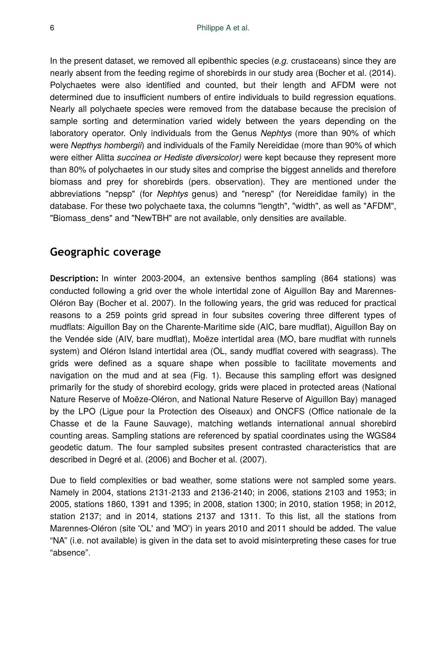In the present dataset, we removed all epibenthic species (*e.g.* crustaceans) since they are nearly absent from the feeding regime of shorebirds in our study area (Bocher et al. (2014). Polychaetes were also identified and counted, but their length and AFDM were not determined due to insufficient numbers of entire individuals to build regression equations. Nearly all polychaete species were removed from the database because the precision of sample sorting and determination varied widely between the years depending on the laboratory operator. Only individuals from the Genus *Nephtys* (more than 90% of which were *Nepthys hombergii*) and individuals of the Family Nereididae (more than 90% of which were either Alitta *succinea or Hediste diversicolor)* were kept because they represent more than 80% of polychaetes in our study sites and comprise the biggest annelids and therefore biomass and prey for shorebirds (pers. observation). They are mentioned under the abbreviations "nepsp" (for *Nephtys* genus) and "neresp" (for Nereididae family) in the database. For these two polychaete taxa, the columns "length", "width", as well as "AFDM", "Biomass dens" and "NewTBH" are not available, only densities are available.

# **Geographic coverage**

**Description:** In winter 2003-2004, an extensive benthos sampling (864 stations) was conducted following a grid over the whole intertidal zone of Aiguillon Bay and Marennes-Oléron Bay (Bocher et al. 2007). In the following years, the grid was reduced for practical reasons to a 259 points grid spread in four subsites covering three different types of mudflats: Aiguillon Bay on the Charente-Maritime side (AIC, bare mudflat), Aiguillon Bay on the Vendée side (AIV, bare mudflat), Moëze intertidal area (MO, bare mudflat with runnels system) and Oléron Island intertidal area (OL, sandy mudflat covered with seagrass). The grids were defined as a square shape when possible to facilitate movements and navigation on the mud and at sea (Fig. 1). Because this sampling effort was designed primarily for the study of shorebird ecology, grids were placed in protected areas (National Nature Reserve of Moëze-Oléron, and National Nature Reserve of Aiguillon Bay) managed by the LPO (Ligue pour la Protection des Oiseaux) and ONCFS (Office nationale de la Chasse et de la Faune Sauvage), matching wetlands international annual shorebird counting areas. Sampling stations are referenced by spatial coordinates using the WGS84 geodetic datum. The four sampled subsites present contrasted characteristics that are described in Degré et al. (2006) and Bocher et al. (2007).

Due to field complexities or bad weather, some stations were not sampled some years. Namely in 2004, stations 2131-2133 and 2136-2140; in 2006, stations 2103 and 1953; in 2005, stations 1860, 1391 and 1395; in 2008, station 1300; in 2010, station 1958; in 2012, station 2137; and in 2014, stations 2137 and 1311. To this list, all the stations from Marennes-Oléron (site 'OL' and 'MO') in years 2010 and 2011 should be added. The value "NA" (i.e. not available) is given in the data set to avoid misinterpreting these cases for true "absence".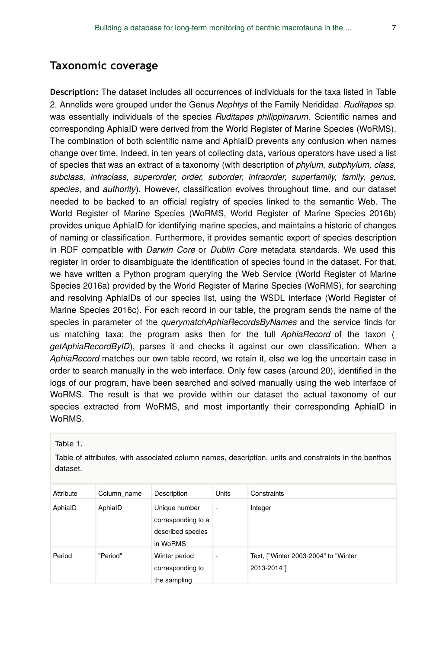### **Taxonomic coverage**

**Description:** The dataset includes all occurrences of individuals for the taxa listed in Table 2. Annelids were grouped under the Genus *Nephtys* of the Family Nerididae. *Ruditapes* sp. was essentially individuals of the species *Ruditapes philippinarum*. Scientific names and corresponding AphiaID were derived from the World Register of Marine Species (WoRMS). The combination of both scientific name and AphiaID prevents any confusion when names change over time. Indeed, in ten years of collecting data, various operators have used a list of species that was an extract of a taxonomy (with description of *phylum, subphylum, class, subclass, infraclass, superorder, order, suborder, infraorder, superfamily, family, genus, species*, and *authority*). However, classification evolves throughout time, and our dataset needed to be backed to an official registry of species linked to the semantic Web. The World Register of Marine Species (WoRMS, World Register of Marine Species 2016b) provides unique AphiaID for identifying marine species, and maintains a historic of changes of naming or classification. Furthermore, it provides semantic export of species description in RDF compatible with *Darwin Core* or *Dublin Core* metadata standards. We used this register in order to disambiguate the identification of species found in the dataset. For that, we have written a Python program querying the Web Service (World Register of Marine Species 2016a) provided by the World Register of Marine Species (WoRMS), for searching and resolving AphiaIDs of our species list, using the WSDL interface (World Register of Marine Species 2016c). For each record in our table, the program sends the name of the species in parameter of the *querymatchAphiaRecordsByNames* and the service finds for us matching taxa; the program asks then for the full *AphiaRecord* of the taxon ( *getAphiaRecordByID*), parses it and checks it against our own classification. When a *AphiaRecord* matches our own table record, we retain it, else we log the uncertain case in order to search manually in the web interface. Only few cases (around 20), identified in the logs of our program, have been searched and solved manually using the web interface of WoRMS. The result is that we provide within our dataset the actual taxonomy of our species extracted from WoRMS, and most importantly their corresponding AphiaID in WoRMS.

Table 1.

Table of attributes, with associated column names, description, units and constraints in the benthos dataset.

| Attribute | Column name | Description                                                          | Units | Constraints                                         |
|-----------|-------------|----------------------------------------------------------------------|-------|-----------------------------------------------------|
| AphiaID   | AphialD     | Unique number<br>corresponding to a<br>described species<br>in WoRMS | ۰     | Integer                                             |
| Period    | "Period"    | Winter period<br>corresponding to<br>the sampling                    |       | Text, ["Winter 2003-2004" to "Winter<br>2013-2014"] |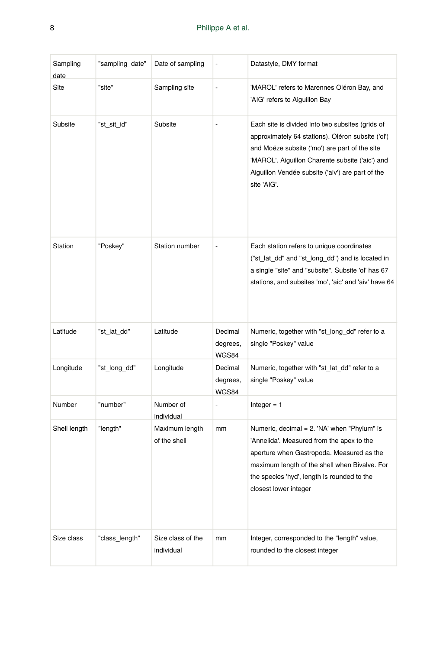| Sampling<br>date | "sampling_date" | Date of sampling                | ÷                            | Datastyle, DMY format                                                                                                                                                                                                                                                        |
|------------------|-----------------|---------------------------------|------------------------------|------------------------------------------------------------------------------------------------------------------------------------------------------------------------------------------------------------------------------------------------------------------------------|
| Site             | "site"          | Sampling site                   | ÷                            | 'MAROL' refers to Marennes Oléron Bay, and<br>'AIG' refers to Aiguillon Bay                                                                                                                                                                                                  |
| Subsite          | "st sit id"     | Subsite                         |                              | Each site is divided into two subsites (grids of<br>approximately 64 stations). Oléron subsite ('ol')<br>and Moëze subsite ('mo') are part of the site<br>'MAROL'. Aiguillon Charente subsite ('aic') and<br>Aiguillon Vendée subsite ('aiv') are part of the<br>site 'AIG'. |
| Station          | "Poskey"        | Station number                  |                              | Each station refers to unique coordinates<br>("st_lat_dd" and "st_long_dd") and is located in<br>a single "site" and "subsite". Subsite 'ol' has 67<br>stations, and subsites 'mo', 'aic' and 'aiv' have 64                                                                  |
| Latitude         | "st lat dd"     | Latitude                        | Decimal<br>degrees,<br>WGS84 | Numeric, together with "st_long_dd" refer to a<br>single "Poskey" value                                                                                                                                                                                                      |
| Longitude        | "st long dd"    | Longitude                       | Decimal<br>degrees,<br>WGS84 | Numeric, together with "st_lat_dd" refer to a<br>single "Poskey" value                                                                                                                                                                                                       |
| Number           | "number"        | Number of<br>individual         | ÷                            | Integer $= 1$                                                                                                                                                                                                                                                                |
| Shell length     | "length"        | Maximum length<br>of the shell  | mm                           | Numeric, decimal = 2. 'NA' when "Phylum" is<br>'Annelida'. Measured from the apex to the<br>aperture when Gastropoda. Measured as the<br>maximum length of the shell when Bivalve. For<br>the species 'hyd', length is rounded to the<br>closest lower integer               |
| Size class       | "class length"  | Size class of the<br>individual | mm                           | Integer, corresponded to the "length" value,<br>rounded to the closest integer                                                                                                                                                                                               |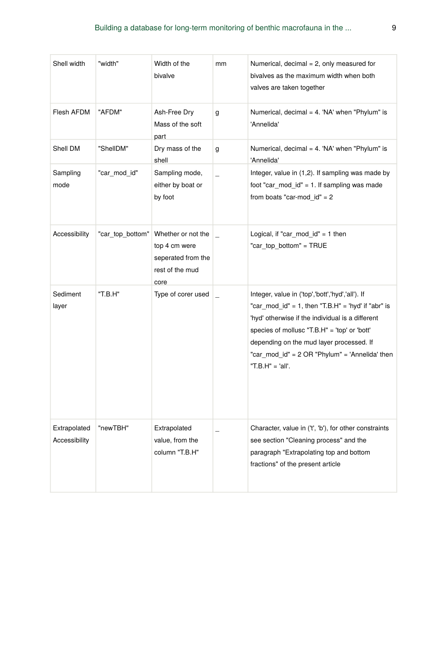| Shell width                   | "width"          | Width of the<br>bivalve                                                              | mm | Numerical, decimal = 2, only measured for<br>bivalves as the maximum width when both<br>valves are taken together                                                                                                                                                                                                               |
|-------------------------------|------------------|--------------------------------------------------------------------------------------|----|---------------------------------------------------------------------------------------------------------------------------------------------------------------------------------------------------------------------------------------------------------------------------------------------------------------------------------|
| Flesh AFDM                    | "AFDM"           | Ash-Free Dry<br>Mass of the soft<br>part                                             | g  | Numerical, decimal = 4. 'NA' when "Phylum" is<br>'Annelida'                                                                                                                                                                                                                                                                     |
| Shell DM                      | "ShellDM"        | Dry mass of the<br>shell                                                             | g  | Numerical, decimal = 4. 'NA' when "Phylum" is<br>'Annelida'                                                                                                                                                                                                                                                                     |
| Sampling<br>mode              | "car mod id"     | Sampling mode,<br>either by boat or<br>by foot                                       |    | Integer, value in (1,2). If sampling was made by<br>foot "car_mod_id" = 1. If sampling was made<br>from boats "car-mod $id$ " = 2                                                                                                                                                                                               |
| Accessibility                 | "car top bottom" | Whether or not the<br>top 4 cm were<br>seperated from the<br>rest of the mud<br>core |    | Logical, if "car_mod_id" = 1 then<br>"car top bottom" = TRUE                                                                                                                                                                                                                                                                    |
| Sediment<br>layer             | "T.B.H"          | Type of corer used                                                                   |    | Integer, value in ('top','bott','hyd','all'). If<br>"car mod $id$ " = 1, then "T.B.H" = 'hyd' if "abr" is<br>'hyd' otherwise if the individual is a different<br>species of mollusc "T.B.H" = 'top' or 'bott'<br>depending on the mud layer processed. If<br>"car mod id" = 2 OR "Phylum" = 'Annelida' then<br>"T.B.H" = 'all'. |
| Extrapolated<br>Accessibility | "newTBH"         | Extrapolated<br>value, from the<br>column "T.B.H"                                    |    | Character, value in ('t', 'b'), for other constraints<br>see section "Cleaning process" and the<br>paragraph "Extrapolating top and bottom<br>fractions" of the present article                                                                                                                                                 |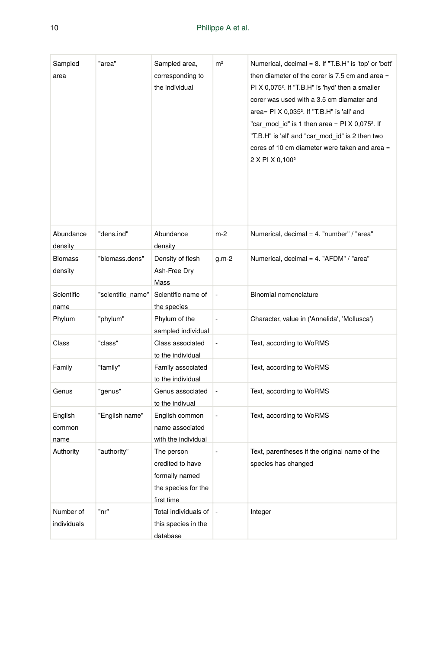| Sampled<br>area           | "area"            | Sampled area,<br>corresponding to<br>the individual                                   | m <sup>2</sup> | Numerical, decimal = 8. If "T.B.H" is 'top' or 'bott'<br>then diameter of the corer is 7.5 cm and area =<br>PI X 0,075 <sup>2</sup> . If "T.B.H" is 'hyd' then a smaller<br>corer was used with a 3.5 cm diamater and<br>area= PI X 0,035 <sup>2</sup> . If "T.B.H" is 'all' and<br>"car_mod_id" is 1 then area = PI X 0,075 <sup>2</sup> . If<br>"T.B.H" is 'all' and "car mod id" is 2 then two<br>cores of 10 cm diameter were taken and area =<br>2 X PI X 0,100 <sup>2</sup> |
|---------------------------|-------------------|---------------------------------------------------------------------------------------|----------------|-----------------------------------------------------------------------------------------------------------------------------------------------------------------------------------------------------------------------------------------------------------------------------------------------------------------------------------------------------------------------------------------------------------------------------------------------------------------------------------|
| Abundance<br>density      | "dens.ind"        | Abundance<br>density                                                                  | m-2            | Numerical, decimal = 4. "number" / "area"                                                                                                                                                                                                                                                                                                                                                                                                                                         |
| <b>Biomass</b><br>density | "biomass.dens"    | Density of flesh<br>Ash-Free Dry<br>Mass                                              | g.m-2          | Numerical, decimal = 4. "AFDM" / "area"                                                                                                                                                                                                                                                                                                                                                                                                                                           |
| Scientific<br>name        | "scientific_name" | Scientific name of<br>the species                                                     | L              | Binomial nomenclature                                                                                                                                                                                                                                                                                                                                                                                                                                                             |
| Phylum                    | "phylum"          | Phylum of the<br>sampled individual                                                   | ÷,             | Character, value in ('Annelida', 'Mollusca')                                                                                                                                                                                                                                                                                                                                                                                                                                      |
| Class                     | "class"           | Class associated<br>to the individual                                                 |                | Text, according to WoRMS                                                                                                                                                                                                                                                                                                                                                                                                                                                          |
| Family                    | "family"          | Family associated<br>to the individual                                                |                | Text, according to WoRMS                                                                                                                                                                                                                                                                                                                                                                                                                                                          |
| Genus                     | "genus"           | Genus associated<br>to the indivual                                                   | ÷,             | Text, according to WoRMS                                                                                                                                                                                                                                                                                                                                                                                                                                                          |
| English<br>common<br>name | "English name"    | English common<br>name associated<br>with the individual                              |                | Text, according to WoRMS                                                                                                                                                                                                                                                                                                                                                                                                                                                          |
| Authority                 | "authority"       | The person<br>credited to have<br>formally named<br>the species for the<br>first time |                | Text, parentheses if the original name of the<br>species has changed                                                                                                                                                                                                                                                                                                                                                                                                              |
| Number of<br>individuals  | "nr"              | Total individuals of<br>this species in the<br>database                               | ÷              | Integer                                                                                                                                                                                                                                                                                                                                                                                                                                                                           |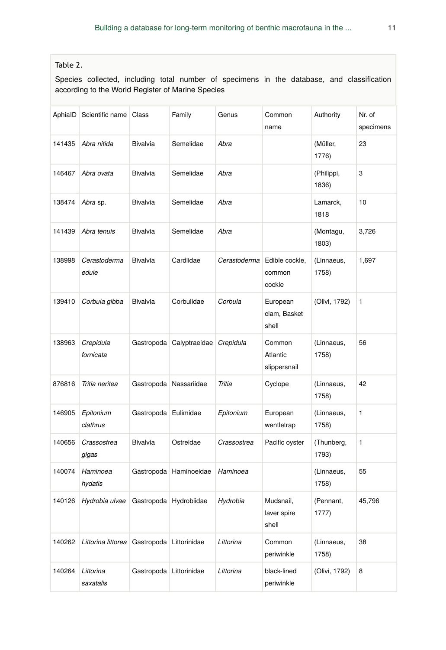### Table 2.

Species collected, including total number of specimens in the database, and classification according to the World Register of Marine Species

| AphiaID | Scientific name        | Class           | Family        | Genus        | Common<br>name                     | Authority           | Nr. of<br>specimens |
|---------|------------------------|-----------------|---------------|--------------|------------------------------------|---------------------|---------------------|
| 141435  | Abra nitida            | Bivalvia        | Semelidae     | Abra         |                                    | (Müller,<br>1776)   | 23                  |
| 146467  | Abra ovata             | Bivalvia        | Semelidae     | Abra         |                                    | (Philippi,<br>1836) | 3                   |
| 138474  | Abra sp.               | Bivalvia        | Semelidae     | Abra         |                                    | Lamarck,<br>1818    | 10                  |
| 141439  | Abra tenuis            | Bivalvia        | Semelidae     | Abra         |                                    | (Montagu,<br>1803)  | 3,726               |
| 138998  | Cerastoderma<br>edule  | <b>Bivalvia</b> | Cardiidae     | Cerastoderma | Edible cockle,<br>common<br>cockle | (Linnaeus,<br>1758) | 1,697               |
| 139410  | Corbula gibba          | Bivalvia        | Corbulidae    | Corbula      | European<br>clam, Basket<br>shell  | (Olivi, 1792)       | 1                   |
| 138963  | Crepidula<br>fornicata | Gastropoda      | Calyptraeidae | Crepidula    | Common<br>Atlantic<br>slippersnail | (Linnaeus,<br>1758) | 56                  |
| 876816  | Tritia neritea         | Gastropoda      | Nassariidae   | Tritia       | Cyclope                            | (Linnaeus,<br>1758) | 42                  |
| 146905  | Epitonium<br>clathrus  | Gastropoda      | Eulimidae     | Epitonium    | European<br>wentletrap             | (Linnaeus,<br>1758) | 1                   |
| 140656  | Crassostrea<br>gigas   | Bivalvia        | Ostreidae     | Crassostrea  | Pacific oyster                     | (Thunberg,<br>1793) | 1                   |
| 140074  | Haminoea<br>hydatis    | Gastropoda      | Haminoeidae   | Haminoea     |                                    | (Linnaeus,<br>1758) | 55                  |
| 140126  | Hydrobia ulvae         | Gastropoda      | Hydrobiidae   | Hydrobia     | Mudsnail,<br>laver spire<br>shell  | (Pennant,<br>1777)  | 45,796              |
| 140262  | Littorina littorea     | Gastropoda      | Littorinidae  | Littorina    | Common<br>periwinkle               | (Linnaeus,<br>1758) | 38                  |
| 140264  | Littorina<br>saxatalis | Gastropoda      | Littorinidae  | Littorina    | black-lined<br>periwinkle          | (Olivi, 1792)       | 8                   |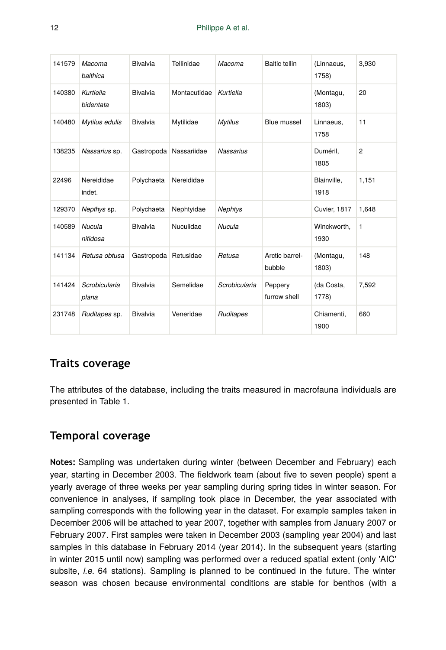| 141579 | Macoma<br>balthica     | Bivalvia             | Tellinidae             | Macoma           | <b>Baltic tellin</b>     | (Linnaeus,<br>1758) | 3,930          |
|--------|------------------------|----------------------|------------------------|------------------|--------------------------|---------------------|----------------|
| 140380 | Kurtiella<br>bidentata | <b>Bivalvia</b>      | Montacutidae           | Kurtiella        |                          | (Montagu,<br>1803)  | 20             |
| 140480 | Mytilus edulis         | <b>Bivalvia</b>      | Mytilidae              | <b>Mytilus</b>   | Blue mussel              | Linnaeus,<br>1758   | 11             |
| 138235 | Nassarius sp.          |                      | Gastropoda Nassariidae | <b>Nassarius</b> |                          | Duméril,<br>1805    | $\overline{2}$ |
| 22496  | Nereididae<br>indet.   | Polychaeta           | Nereididae             |                  |                          | Blainville,<br>1918 | 1,151          |
| 129370 | Nepthys sp.            | Polychaeta           | Nephtyidae             | <b>Nephtys</b>   |                          | Cuvier, 1817        | 1,648          |
| 140589 | Nucula<br>nitidosa     | Bivalvia             | Nuculidae              | Nucula           |                          | Winckworth,<br>1930 | $\mathbf{1}$   |
| 141134 | Retusa obtusa          | Gastropoda Retusidae |                        | Retusa           | Arctic barrel-<br>bubble | (Montagu,<br>1803)  | 148            |
| 141424 | Scrobicularia<br>plana | <b>Bivalvia</b>      | Semelidae              | Scrobicularia    | Peppery<br>furrow shell  | (da Costa,<br>1778) | 7,592          |
| 231748 | Ruditapes sp.          | <b>Bivalvia</b>      | Veneridae              | Ruditapes        |                          | Chiamenti,<br>1900  | 660            |

# **Traits coverage**

The attributes of the database, including the traits measured in macrofauna individuals are presented in Table 1.

# **Temporal coverage**

**Notes:** Sampling was undertaken during winter (between December and February) each year, starting in December 2003. The fieldwork team (about five to seven people) spent a yearly average of three weeks per year sampling during spring tides in winter season. For convenience in analyses, if sampling took place in December, the year associated with sampling corresponds with the following year in the dataset. For example samples taken in December 2006 will be attached to year 2007, together with samples from January 2007 or February 2007. First samples were taken in December 2003 (sampling year 2004) and last samples in this database in February 2014 (year 2014). In the subsequent years (starting in winter 2015 until now) sampling was performed over a reduced spatial extent (only 'AIC' subsite, *i.e.* 64 stations). Sampling is planned to be continued in the future. The winter season was chosen because environmental conditions are stable for benthos (with a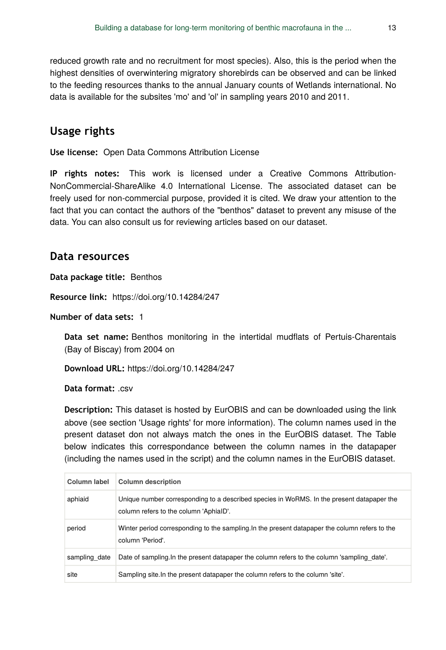reduced growth rate and no recruitment for most species). Also, this is the period when the highest densities of overwintering migratory shorebirds can be observed and can be linked to the feeding resources thanks to the annual January counts of Wetlands international. No data is available for the subsites 'mo' and 'ol' in sampling years 2010 and 2011.

### **Usage rights**

**Use license:** Open Data Commons Attribution License

**IP rights notes:** This work is licensed under a Creative Commons Attribution-NonCommercial-ShareAlike 4.0 International License. The associated dataset can be freely used for non-commercial purpose, provided it is cited. We draw your attention to the fact that you can contact the authors of the "benthos" dataset to prevent any misuse of the data. You can also consult us for reviewing articles based on our dataset.

#### **Data resources**

**Data package title:** Benthos

**Resource link:** https://doi.org/10.14284/247

**Number of data sets:** 1

**Data set name:** Benthos monitoring in the intertidal mudflats of Pertuis-Charentais (Bay of Biscay) from 2004 on

**Download URL:** https://doi.org/10.14284/247

**Data format: csv** 

**Description:** This dataset is hosted by EurOBIS and can be downloaded using the link above (see section 'Usage rights' for more information). The column names used in the present dataset don not always match the ones in the EurOBIS dataset. The Table below indicates this correspondance between the column names in the datapaper (including the names used in the script) and the column names in the EurOBIS dataset.

| Column label  | <b>Column description</b>                                                                                                           |
|---------------|-------------------------------------------------------------------------------------------------------------------------------------|
| aphiaid       | Unique number corresponding to a described species in WoRMS. In the present datapaper the<br>column refers to the column 'AphiaID'. |
| period        | Winter period corresponding to the sampling. In the present datapaper the column refers to the<br>column 'Period'.                  |
| sampling date | Date of sampling In the present datapaper the column refers to the column 'sampling date'.                                          |
| site          | Sampling site. In the present datapaper the column refers to the column 'site'.                                                     |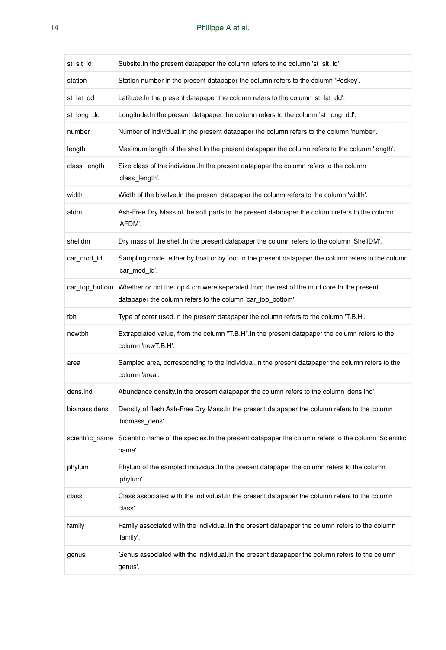| st_sit_id       | Subsite. In the present datapaper the column refers to the column 'st_sit_id'.                                                                          |
|-----------------|---------------------------------------------------------------------------------------------------------------------------------------------------------|
| station         | Station number. In the present datapaper the column refers to the column 'Poskey'.                                                                      |
| st_lat_dd       | Latitude. In the present datapaper the column refers to the column 'st_lat_dd'.                                                                         |
| st long dd      | Longitude. In the present datapaper the column refers to the column 'st_long_dd'.                                                                       |
| number          | Number of individual. In the present datapaper the column refers to the column 'number'.                                                                |
| length          | Maximum length of the shell. In the present datapaper the column refers to the column 'length'.                                                         |
| class_length    | Size class of the individual. In the present datapaper the column refers to the column<br>'class_length'.                                               |
| width           | Width of the bivalve. In the present datapaper the column refers to the column 'width'.                                                                 |
| afdm            | Ash-Free Dry Mass of the soft parts. In the present datapaper the column refers to the column<br>'AFDM'.                                                |
| shelldm         | Dry mass of the shell. In the present datapaper the column refers to the column 'ShellDM'.                                                              |
| car_mod_id      | Sampling mode, either by boat or by foot. In the present datapaper the column refers to the column<br>'car_mod_id'.                                     |
| car_top_bottom  | Whether or not the top 4 cm were seperated from the rest of the mud core. In the present<br>datapaper the column refers to the column 'car_top_bottom'. |
| tbh             | Type of corer used. In the present datapaper the column refers to the column 'T.B.H'.                                                                   |
| newtbh          | Extrapolated value, from the column "T.B.H". In the present datapaper the column refers to the<br>column 'newT.B.H'.                                    |
| area            | Sampled area, corresponding to the individual. In the present datapaper the column refers to the<br>column 'area'.                                      |
| dens.ind        | Abundance density. In the present datapaper the column refers to the column 'dens.ind'.                                                                 |
| biomass.dens    | Density of flesh Ash-Free Dry Mass. In the present datapaper the column refers to the column<br>'biomass dens'.                                         |
| scientific_name | Scientific name of the species. In the present datapaper the column refers to the column 'Scientific<br>name'.                                          |
| phylum          | Phylum of the sampled individual. In the present datapaper the column refers to the column<br>'phylum'.                                                 |
| class           | Class associated with the individual. In the present datapaper the column refers to the column<br>class'.                                               |
| family          | Family associated with the individual. In the present datapaper the column refers to the column<br>'family'.                                            |
| genus           | Genus associated with the individual. In the present datapaper the column refers to the column<br>genus'.                                               |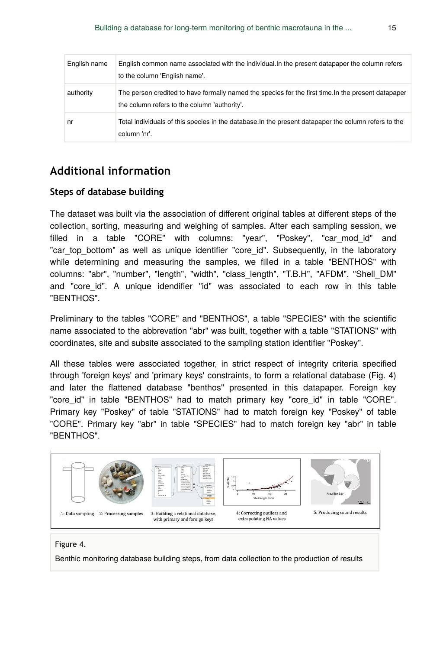| English name | English common name associated with the individual. In the present datapaper the column refers<br>to the column 'English name'.                     |
|--------------|-----------------------------------------------------------------------------------------------------------------------------------------------------|
| authority    | The person credited to have formally named the species for the first time. In the present datapaper<br>the column refers to the column 'authority'. |
| nr           | Total individuals of this species in the database. In the present datapaper the column refers to the<br>column 'nr'.                                |

### **Additional information**

#### **Steps of database building**

The dataset was built via the association of different original tables at different steps of the collection, sorting, measuring and weighing of samples. After each sampling session, we filled in a table "CORE" with columns: "year", "Poskey", "car\_mod\_id" and "car top bottom" as well as unique identifier "core id". Subsequently, in the laboratory while determining and measuring the samples, we filled in a table "BENTHOS" with columns: "abr", "number", "length", "width", "class\_length", "T.B.H", "AFDM", "Shell\_DM" and "core id". A unique idendifier "id" was associated to each row in this table "BENTHOS".

Preliminary to the tables "CORE" and "BENTHOS", a table "SPECIES" with the scientific name associated to the abbrevation "abr" was built, together with a table "STATIONS" with coordinates, site and subsite associated to the sampling station identifier "Poskey".

All these tables were associated together, in strict respect of integrity criteria specified through 'foreign keys' and 'primary keys' constraints, to form a relational database (Fig. 4) and later the flattened database "benthos" presented in this datapaper. Foreign key "core id" in table "BENTHOS" had to match primary key "core id" in table "CORE". Primary key "Poskey" of table "STATIONS" had to match foreign key "Poskey" of table "CORE". Primary key "abr" in table "SPECIES" had to match foreign key "abr" in table "BENTHOS".



#### Figure 4.

Benthic monitoring database building steps, from data collection to the production of results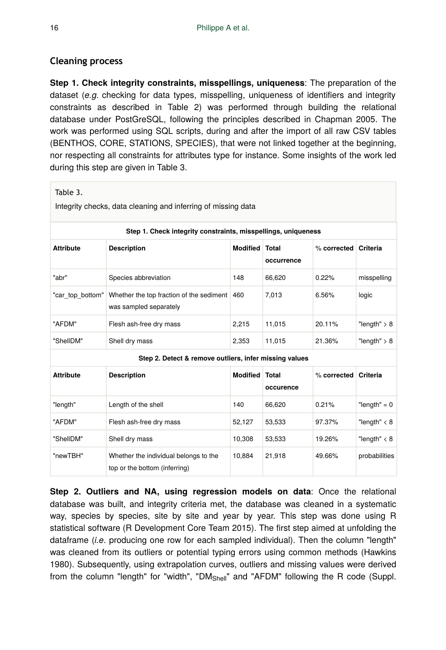### **Cleaning process**

**Step 1. Check integrity constraints, misspellings, uniqueness**: The preparation of the dataset (*e.g.* checking for data types, misspelling, uniqueness of identifiers and integrity constraints as described in Table 2) was performed through building the relational database under PostGreSQL, following the principles described in Chapman 2005. The work was performed using SQL scripts, during and after the import of all raw CSV tables (BENTHOS, CORE, STATIONS, SPECIES), that were not linked together at the beginning, nor respecting all constraints for attributes type for instance. Some insights of the work led during this step are given in Table 3.

| Table 3.<br>Integrity checks, data cleaning and inferring of missing data |                                                                        |                       |            |                      |                |  |
|---------------------------------------------------------------------------|------------------------------------------------------------------------|-----------------------|------------|----------------------|----------------|--|
| Step 1. Check integrity constraints, misspellings, uniqueness             |                                                                        |                       |            |                      |                |  |
| <b>Attribute</b>                                                          | <b>Description</b>                                                     | <b>Modified Total</b> | occurrence | % corrected Criteria |                |  |
| "abr"                                                                     | Species abbreviation                                                   | 148                   | 66,620     | 0.22%                | misspelling    |  |
| "car top bottom"                                                          | Whether the top fraction of the sediment<br>was sampled separately     | 460                   | 7,013      | 6.56%                | logic          |  |
| "AFDM"                                                                    | Flesh ash-free dry mass                                                | 2,215                 | 11,015     | 20.11%               | "length" $> 8$ |  |
| "ShellDM"                                                                 | Shell dry mass                                                         | 2,353                 | 11,015     | 21.36%               | "length" $> 8$ |  |
|                                                                           | Step 2. Detect & remove outliers, infer missing values                 |                       |            |                      |                |  |
| <b>Attribute</b>                                                          | <b>Description</b>                                                     | <b>Modified Total</b> | occurence  | % corrected Criteria |                |  |
| "length"                                                                  | Length of the shell                                                    | 140                   | 66,620     | 0.21%                | "length" = $0$ |  |
| "AFDM"                                                                    | Flesh ash-free dry mass                                                | 52,127                | 53,533     | 97.37%               | "length" $<$ 8 |  |
| "ShellDM"                                                                 | Shell dry mass                                                         | 10,308                | 53,533     | 19.26%               | "length" $<$ 8 |  |
| "newTBH"                                                                  | Whether the individual belongs to the<br>top or the bottom (inferring) | 10,884                | 21,918     | 49.66%               | probabilities  |  |

**Step 2. Outliers and NA, using regression models on data**: Once the relational database was built, and integrity criteria met, the database was cleaned in a systematic way, species by species, site by site and year by year. This step was done using R statistical software (R Development Core Team 2015). The first step aimed at unfolding the dataframe (*i.e*. producing one row for each sampled individual). Then the column "length" was cleaned from its outliers or potential typing errors using common methods (Hawkins 1980). Subsequently, using extrapolation curves, outliers and missing values were derived from the column "length" for "width", "DM<sub>Shell</sub>" and "AFDM" following the R code (Suppl.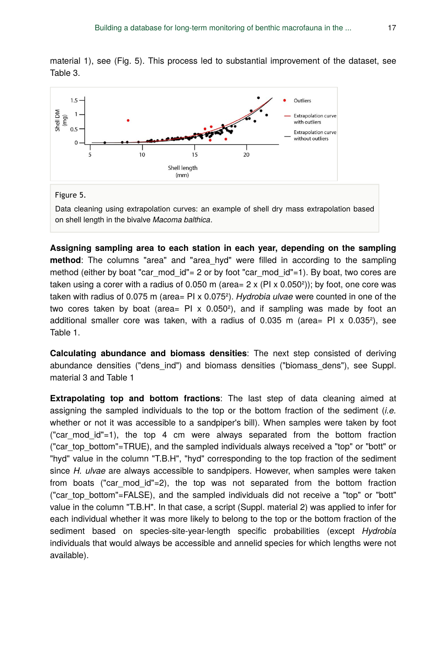material 1), see (Fig. 5). This process led to substantial improvement of the dataset, see Table 3.



Data cleaning using extrapolation curves: an example of shell dry mass extrapolation based on shell length in the bivalve *Macoma balthica*.

**Assigning sampling area to each station in each year, depending on the sampling method**: The columns "area" and "area\_hyd" were filled in according to the sampling method (either by boat "car mod  $id$ "= 2 or by foot "car mod  $id$ "=1). By boat, two cores are taken using a corer with a radius of 0.050 m (area=  $2 \times (PI \times 0.050^2)$ ); by foot, one core was taken with radius of 0.075 m (area= PI x 0.075²). *Hydrobia ulvae* were counted in one of the two cores taken by boat (area=  $PI \times 0.050^2$ ), and if sampling was made by foot an additional smaller core was taken, with a radius of  $0.035$  m (area= PI x  $0.035^2$ ), see Table 1.

**Calculating abundance and biomass densities**: The next step consisted of deriving abundance densities ("dens\_ind") and biomass densities ("biomass\_dens"), see Suppl. material 3 and Table 1

**Extrapolating top and bottom fractions**: The last step of data cleaning aimed at assigning the sampled individuals to the top or the bottom fraction of the sediment (*i.e.* whether or not it was accessible to a sandpiper's bill). When samples were taken by foot ("car mod id"=1), the top 4 cm were always separated from the bottom fraction ("car\_top\_bottom"=TRUE), and the sampled individuals always received a "top" or "bott" or "hyd" value in the column "T.B.H", "hyd" corresponding to the top fraction of the sediment since *H. ulvae* are always accessible to sandpipers. However, when samples were taken from boats ("car\_mod\_id"=2), the top was not separated from the bottom fraction ("car\_top\_bottom"=FALSE), and the sampled individuals did not receive a "top" or "bott" value in the column "T.B.H". In that case, a script (Suppl. material 2) was applied to infer for each individual whether it was more likely to belong to the top or the bottom fraction of the sediment based on species-site-year-length specific probabilities (except *Hydrobia* individuals that would always be accessible and annelid species for which lengths were not available).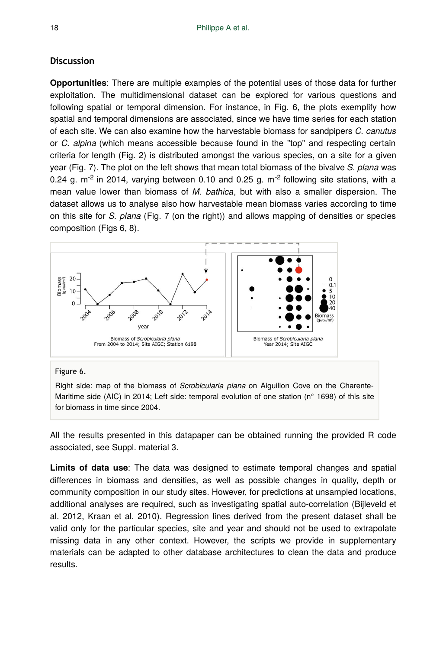#### **Discussion**

**Opportunities**: There are multiple examples of the potential uses of those data for further exploitation. The multidimensional dataset can be explored for various questions and following spatial or temporal dimension. For instance, in Fig. 6, the plots exemplify how spatial and temporal dimensions are associated, since we have time series for each station of each site. We can also examine how the harvestable biomass for sandpipers *C. canutus* or *C. alpina* (which means accessible because found in the "top" and respecting certain criteria for length (Fig. 2) is distributed amongst the various species, on a site for a given year (Fig. 7). The plot on the left shows that mean total biomass of the bivalve *S. plana* was 0.24 g.  $m<sup>-2</sup>$  in 2014, varying between 0.10 and 0.25 g.  $m<sup>-2</sup>$  following site stations, with a mean value lower than biomass of *M. bathica*, but with also a smaller dispersion. The dataset allows us to analyse also how harvestable mean biomass varies according to time on this site for *S. plana* (Fig. 7 (on the right)) and allows mapping of densities or species composition (Figs 6, 8).



#### Figure 6.

Right side: map of the biomass of *Scrobicularia plana* on Aiguillon Cove on the Charente-Maritime side (AIC) in 2014; Left side: temporal evolution of one station (n° 1698) of this site for biomass in time since 2004.

All the results presented in this datapaper can be obtained running the provided R code associated, see Suppl. material 3.

**Limits of data use**: The data was designed to estimate temporal changes and spatial differences in biomass and densities, as well as possible changes in quality, depth or community composition in our study sites. However, for predictions at unsampled locations, additional analyses are required, such as investigating spatial auto-correlation (Bijleveld et al. 2012, Kraan et al. 2010). Regression lines derived from the present dataset shall be valid only for the particular species, site and year and should not be used to extrapolate missing data in any other context. However, the scripts we provide in supplementary materials can be adapted to other database architectures to clean the data and produce results.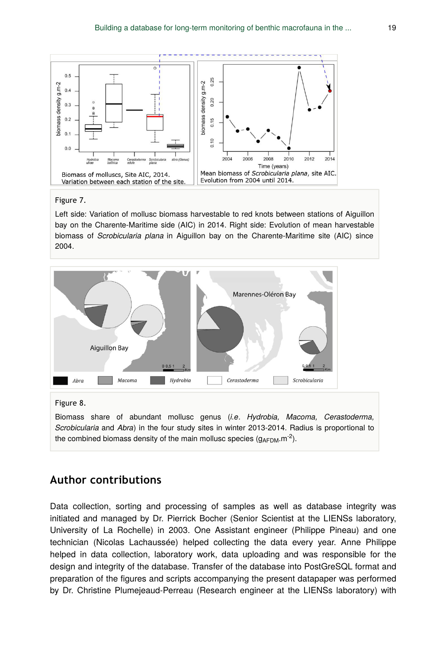

#### Figure 7.

Left side: Variation of mollusc biomass harvestable to red knots between stations of Aiguillon bay on the Charente-Maritime side (AIC) in 2014. Right side: Evolution of mean harvestable biomass of *Scrobicularia plana* in Aiguillon bay on the Charente-Maritime site (AIC) since 2004.



#### Figure 8.

Biomass share of abundant mollusc genus (*i.e*. *Hydrobia, Macoma, Cerastoderma, Scrobicularia* and *Abra*) in the four study sites in winter 2013-2014. Radius is proportional to the combined biomass density of the main mollusc species  $(g_{A\text{FDM}} \cdot m^{-2})$ .

### **Author contributions**

Data collection, sorting and processing of samples as well as database integrity was initiated and managed by Dr. Pierrick Bocher (Senior Scientist at the LIENSs laboratory, University of La Rochelle) in 2003. One Assistant engineer (Philippe Pineau) and one technician (Nicolas Lachaussée) helped collecting the data every year. Anne Philippe helped in data collection, laboratory work, data uploading and was responsible for the design and integrity of the database. Transfer of the database into PostGreSQL format and preparation of the figures and scripts accompanying the present datapaper was performed by Dr. Christine Plumejeaud-Perreau (Research engineer at the LIENSs laboratory) with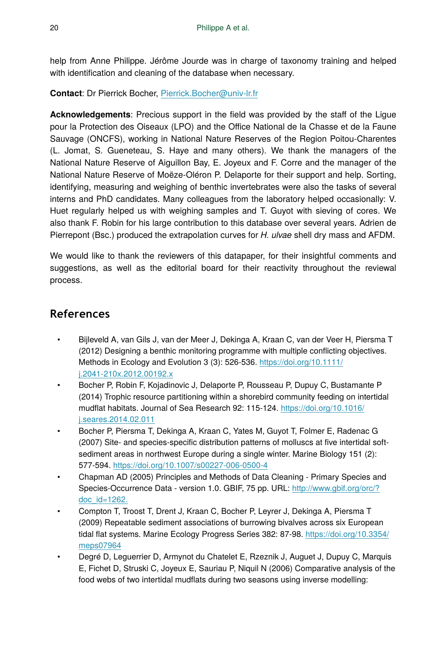help from Anne Philippe. Jérôme Jourde was in charge of taxonomy training and helped with identification and cleaning of the database when necessary.

**Contact**: Dr Pierrick Bocher, [Pierrick.Bocher@univ-lr.fr](mailto:Pierrick.Bocher@univ-lr.fr)

**Acknowledgements**: Precious support in the field was provided by the staff of the Ligue pour la Protection des Oiseaux (LPO) and the Office National de la Chasse et de la Faune Sauvage (ONCFS), working in National Nature Reserves of the Region Poitou-Charentes (L. Jomat, S. Gueneteau, S. Haye and many others). We thank the managers of the National Nature Reserve of Aiguillon Bay, E. Joyeux and F. Corre and the manager of the National Nature Reserve of Moëze-Oléron P. Delaporte for their support and help. Sorting, identifying, measuring and weighing of benthic invertebrates were also the tasks of several interns and PhD candidates. Many colleagues from the laboratory helped occasionally: V. Huet regularly helped us with weighing samples and T. Guyot with sieving of cores. We also thank F. Robin for his large contribution to this database over several years. Adrien de Pierrepont (Bsc.) produced the extrapolation curves for *H. ulvae* shell dry mass and AFDM.

We would like to thank the reviewers of this datapaper, for their insightful comments and suggestions, as well as the editorial board for their reactivity throughout the reviewal process.

# **References**

- Bijleveld A, van Gils J, van der Meer J, Dekinga A, Kraan C, van der Veer H, Piersma T (2012) Designing a benthic monitoring programme with multiple conflicting objectives. Methods in Ecology and Evolution 3 (3): 526-536. [https://doi.org/10.1111/](https://doi.org/10.1111/j.2041-210x.2012.00192.x) [j.2041-210x.2012.00192.x](https://doi.org/10.1111/j.2041-210x.2012.00192.x)
- Bocher P, Robin F, Kojadinovic J, Delaporte P, Rousseau P, Dupuy C, Bustamante P (2014) Trophic resource partitioning within a shorebird community feeding on intertidal mudflat habitats. Journal of Sea Research 92: 115‑124. [https://doi.org/10.1016/](https://doi.org/10.1016/j.seares.2014.02.011) [j.seares.2014.02.011](https://doi.org/10.1016/j.seares.2014.02.011)
- Bocher P, Piersma T, Dekinga A, Kraan C, Yates M, Guyot T, Folmer E, Radenac G (2007) Site- and species-specific distribution patterns of molluscs at five intertidal softsediment areas in northwest Europe during a single winter. Marine Biology 151 (2): 577‑594. <https://doi.org/10.1007/s00227-006-0500-4>
- Chapman AD (2005) Principles and Methods of Data Cleaning Primary Species and Species-Occurrence Data - version 1.0. GBIF, 75 pp. URL: [http://www.gbif.org/orc/?](http://www.gbif.org/orc/?doc_id=1262.) [doc\\_id=1262.](http://www.gbif.org/orc/?doc_id=1262.)
- Compton T, Troost T, Drent J, Kraan C, Bocher P, Leyrer J, Dekinga A, Piersma T (2009) Repeatable sediment associations of burrowing bivalves across six European tidal flat systems. Marine Ecology Progress Series 382: 87‑98. [https://doi.org/10.3354/](https://doi.org/10.3354/meps07964) [meps07964](https://doi.org/10.3354/meps07964)
- Degré D, Leguerrier D, Armynot du Chatelet E, Rzeznik J, Auguet J, Dupuy C, Marquis E, Fichet D, Struski C, Joyeux E, Sauriau P, Niquil N (2006) Comparative analysis of the food webs of two intertidal mudflats during two seasons using inverse modelling: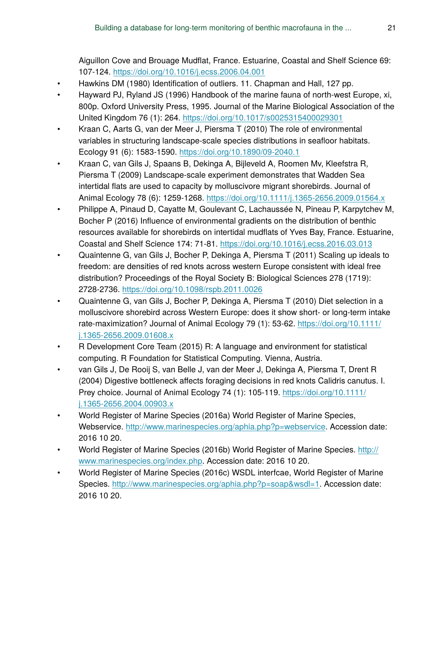Aiguillon Cove and Brouage Mudflat, France. Estuarine, Coastal and Shelf Science 69: 107‑124. <https://doi.org/10.1016/j.ecss.2006.04.001>

- Hawkins DM (1980) Identification of outliers. 11. Chapman and Hall, 127 pp.
- Hayward PJ, Ryland JS (1996) Handbook of the marine fauna of north-west Europe, xi, 800p. Oxford University Press, 1995. Journal of the Marine Biological Association of the United Kingdom 76 (1): 264. <https://doi.org/10.1017/s0025315400029301>
- Kraan C, Aarts G, van der Meer J, Piersma T (2010) The role of environmental variables in structuring landscape-scale species distributions in seafloor habitats. Ecology 91 (6): 1583‑1590.<https://doi.org/10.1890/09-2040.1>
- Kraan C, van Gils J, Spaans B, Dekinga A, Bijleveld A, Roomen Mv, Kleefstra R, Piersma T (2009) Landscape-scale experiment demonstrates that Wadden Sea intertidal flats are used to capacity by molluscivore migrant shorebirds. Journal of Animal Ecology 78 (6): 1259‑1268. <https://doi.org/10.1111/j.1365-2656.2009.01564.x>
- Philippe A, Pinaud D, Cayatte M, Goulevant C, Lachaussée N, Pineau P, Karpytchev M, Bocher P (2016) Influence of environmental gradients on the distribution of benthic resources available for shorebirds on intertidal mudflats of Yves Bay, France. Estuarine, Coastal and Shelf Science 174: 71‑81. <https://doi.org/10.1016/j.ecss.2016.03.013>
- Quaintenne G, van Gils J, Bocher P, Dekinga A, Piersma T (2011) Scaling up ideals to freedom: are densities of red knots across western Europe consistent with ideal free distribution? Proceedings of the Royal Society B: Biological Sciences 278 (1719): 2728‑2736.<https://doi.org/10.1098/rspb.2011.0026>
- Quaintenne G, van Gils J, Bocher P, Dekinga A, Piersma T (2010) Diet selection in a molluscivore shorebird across Western Europe: does it show short- or long-term intake rate-maximization? Journal of Animal Ecology 79 (1): 53-62. [https://doi.org/10.1111/](https://doi.org/10.1111/j.1365-2656.2009.01608.x) [j.1365-2656.2009.01608.x](https://doi.org/10.1111/j.1365-2656.2009.01608.x)
- R Development Core Team (2015) R: A language and environment for statistical computing. R Foundation for Statistical Computing. Vienna, Austria.
- van Gils J, De Rooij S, van Belle J, van der Meer J, Dekinga A, Piersma T, Drent R (2004) Digestive bottleneck affects foraging decisions in red knots Calidris canutus. I. Prey choice. Journal of Animal Ecology 74 (1): 105-119. [https://doi.org/10.1111/](https://doi.org/10.1111/j.1365-2656.2004.00903.x) [j.1365-2656.2004.00903.x](https://doi.org/10.1111/j.1365-2656.2004.00903.x)
- World Register of Marine Species (2016a) World Register of Marine Species, Webservice. <http://www.marinespecies.org/aphia.php?p=webservice>. Accession date: 2016 10 20.
- World Register of Marine Species (2016b) World Register of Marine Species. [http://](http://www.marinespecies.org/index.php) [www.marinespecies.org/index.php](http://www.marinespecies.org/index.php). Accession date: 2016 10 20.
- World Register of Marine Species (2016c) WSDL interfcae, World Register of Marine Species. [http://www.marinespecies.org/aphia.php?p=soap&wsdl=1.](http://www.marinespecies.org/aphia.php?p=soap&wsdl=1) Accession date: 2016 10 20.